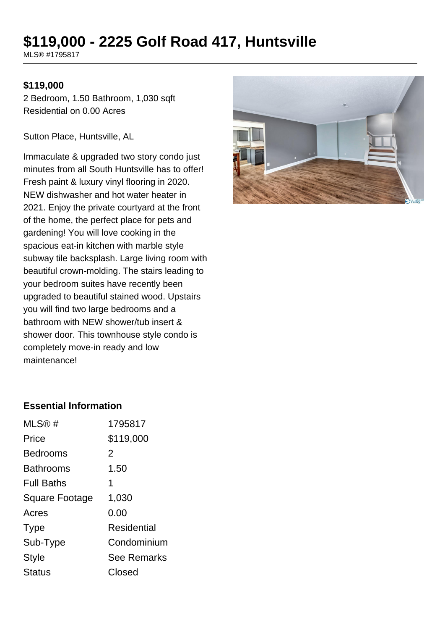# **\$119,000 - 2225 Golf Road 417, Huntsville**

MLS® #1795817

#### **\$119,000**

2 Bedroom, 1.50 Bathroom, 1,030 sqft Residential on 0.00 Acres

Sutton Place, Huntsville, AL

Immaculate & upgraded two story condo just minutes from all South Huntsville has to offer! Fresh paint & luxury vinyl flooring in 2020. NEW dishwasher and hot water heater in 2021. Enjoy the private courtyard at the front of the home, the perfect place for pets and gardening! You will love cooking in the spacious eat-in kitchen with marble style subway tile backsplash. Large living room with beautiful crown-molding. The stairs leading to your bedroom suites have recently been upgraded to beautiful stained wood. Upstairs you will find two large bedrooms and a bathroom with NEW shower/tub insert & shower door. This townhouse style condo is completely move-in ready and low maintenance!



#### **Essential Information**

| MLS@#             | 1795817            |
|-------------------|--------------------|
| Price             | \$119,000          |
| <b>Bedrooms</b>   | 2                  |
| <b>Bathrooms</b>  | 1.50               |
| <b>Full Baths</b> | 1                  |
| Square Footage    | 1,030              |
| Acres             | 0.00               |
| <b>Type</b>       | Residential        |
| Sub-Type          | Condominium        |
| <b>Style</b>      | <b>See Remarks</b> |
| Status            | Closed             |